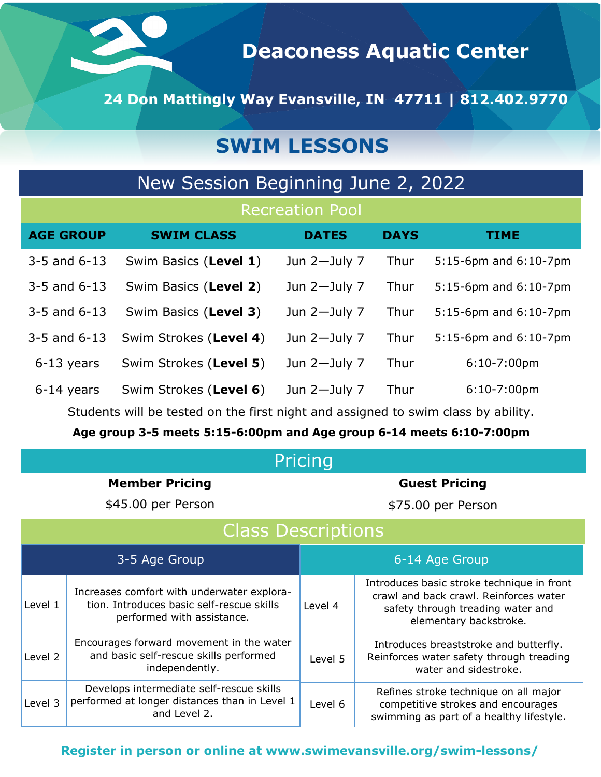

**Deaconess Aquatic Center**

**24 Don Mattingly Way Evansville, IN 47711 | 812.402.9770**

# **SWIM LESSONS**

| New Session Beginning June 2, 2022 |                        |                 |             |                       |  |  |  |
|------------------------------------|------------------------|-----------------|-------------|-----------------------|--|--|--|
| <b>Recreation Pool</b>             |                        |                 |             |                       |  |  |  |
| <b>AGE GROUP</b>                   | <b>SWIM CLASS</b>      | <b>DATES</b>    | <b>DAYS</b> | <b>TIME</b>           |  |  |  |
| $3-5$ and $6-13$                   | Swim Basics (Level 1)  | Jun $2$ -July 7 | Thur        | 5:15-6pm and 6:10-7pm |  |  |  |
| $3 - 5$ and $6 - 13$               | Swim Basics (Level 2)  | Jun $2$ -July 7 | Thur        | 5:15-6pm and 6:10-7pm |  |  |  |
| $3-5$ and $6-13$                   | Swim Basics (Level 3)  | Jun $2$ -July 7 | Thur        | 5:15-6pm and 6:10-7pm |  |  |  |
| $3-5$ and $6-13$                   | Swim Strokes (Level 4) | Jun $2$ -July 7 | Thur        | 5:15-6pm and 6:10-7pm |  |  |  |
| $6-13$ years                       | Swim Strokes (Level 5) | Jun $2$ -July 7 | Thur        | $6:10-7:00$ pm        |  |  |  |
| 6-14 years                         | Swim Strokes (Level 6) | Jun $2$ -July 7 | Thur        | $6:10-7:00$ pm        |  |  |  |

Students will be tested on the first night and assigned to swim class by ability.

**Age group 3-5 meets 5:15-6:00pm and Age group 6-14 meets 6:10-7:00pm**

| Pricing                   |                                                                                                                       |                                                                                                                                    |                                                                                                                                                     |  |  |  |
|---------------------------|-----------------------------------------------------------------------------------------------------------------------|------------------------------------------------------------------------------------------------------------------------------------|-----------------------------------------------------------------------------------------------------------------------------------------------------|--|--|--|
| <b>Member Pricing</b>     |                                                                                                                       | <b>Guest Pricing</b>                                                                                                               |                                                                                                                                                     |  |  |  |
| \$45.00 per Person        |                                                                                                                       | \$75.00 per Person                                                                                                                 |                                                                                                                                                     |  |  |  |
| <b>Class Descriptions</b> |                                                                                                                       |                                                                                                                                    |                                                                                                                                                     |  |  |  |
| 3-5 Age Group             |                                                                                                                       | 6-14 Age Group                                                                                                                     |                                                                                                                                                     |  |  |  |
| Level 1                   | Increases comfort with underwater explora-<br>tion. Introduces basic self-rescue skills<br>performed with assistance. | Level 4                                                                                                                            | Introduces basic stroke technique in front<br>crawl and back crawl. Reinforces water<br>safety through treading water and<br>elementary backstroke. |  |  |  |
| Level 2                   | Encourages forward movement in the water<br>and basic self-rescue skills performed<br>independently.                  | Level 5                                                                                                                            | Introduces breaststroke and butterfly.<br>Reinforces water safety through treading<br>water and sidestroke.                                         |  |  |  |
| Level 3                   | Develops intermediate self-rescue skills<br>performed at longer distances than in Level 1<br>and Level 2.             | Refines stroke technique on all major<br>competitive strokes and encourages<br>Level 6<br>swimming as part of a healthy lifestyle. |                                                                                                                                                     |  |  |  |

#### **Register in person or online at www.swimevansville.org/swim-lessons/**